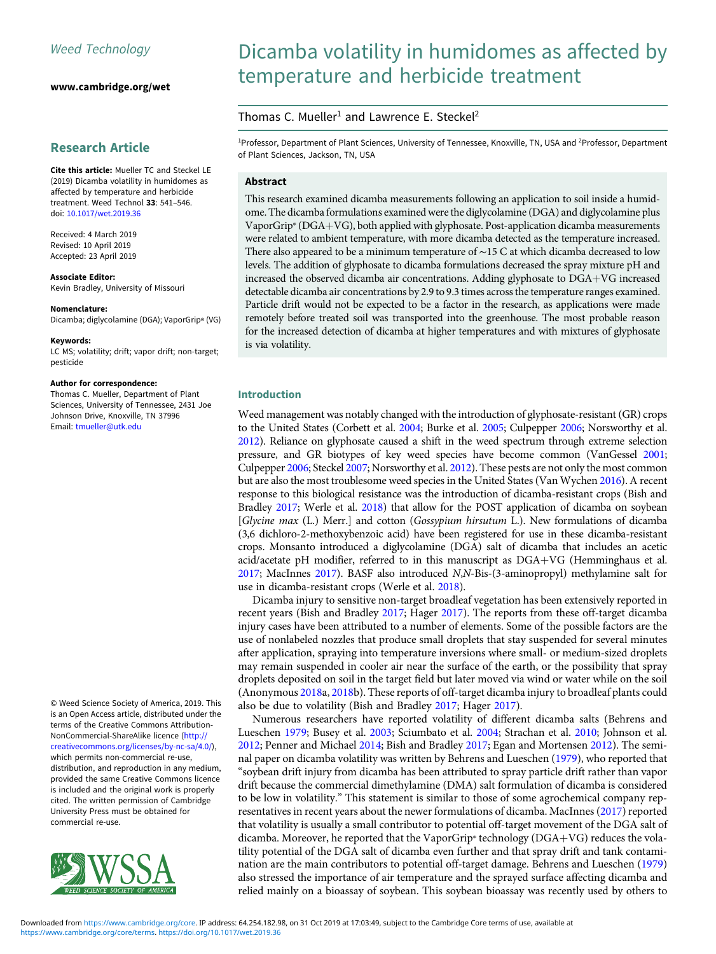[www.cambridge.org/wet](https://www.cambridge.org/wet)

# Research Article

Cite this article: Mueller TC and Steckel LE (2019) Dicamba volatility in humidomes as affected by temperature and herbicide treatment. Weed Technol 33: 541–546. doi: [10.1017/wet.2019.36](https://doi.org/10.1017/wet.2019.36)

Received: 4 March 2019 Revised: 10 April 2019 Accepted: 23 April 2019

Associate Editor: Kevin Bradley, University of Missouri

#### Nomenclature:

Dicamba; diglycolamine (DGA); VaporGrip® (VG)

Keywords: LC MS; volatility; drift; vapor drift; non-target; pesticide

#### Author for correspondence:

Thomas C. Mueller, Department of Plant Sciences, University of Tennessee, 2431 Joe Johnson Drive, Knoxville, TN 37996 Email: [tmueller@utk.edu](mailto:tmueller@utk.edu)

© Weed Science Society of America, 2019. This is an Open Access article, distributed under the terms of the Creative Commons Attribution-NonCommercial-ShareAlike licence [\(http://](http://creativecommons.org/licenses/by-nc-sa/4.0/) [creativecommons.org/licenses/by-nc-sa/4.0/](http://creativecommons.org/licenses/by-nc-sa/4.0/)), which permits non-commercial re-use, distribution, and reproduction in any medium, provided the same Creative Commons licence is included and the original work is properly cited. The written permission of Cambridge University Press must be obtained for commercial re-use.



# Dicamba volatility in humidomes as affected by temperature and herbicide treatment

## Thomas C. Mueller<sup>1</sup> and Lawrence E. Steckel<sup>2</sup>

<sup>1</sup>Professor, Department of Plant Sciences, University of Tennessee, Knoxville, TN, USA and <sup>2</sup>Professor, Department of Plant Sciences, Jackson, TN, USA

## Abstract

This research examined dicamba measurements following an application to soil inside a humidome. The dicamba formulations examined were the diglycolamine (DGA) and diglycolamine plus VaporGrip® ( $DGA+VG$ ), both applied with glyphosate. Post-application dicamba measurements were related to ambient temperature, with more dicamba detected as the temperature increased. There also appeared to be a minimum temperature of ∼15 C at which dicamba decreased to low levels. The addition of glyphosate to dicamba formulations decreased the spray mixture pH and increased the observed dicamba air concentrations. Adding glyphosate to  $DGA+VG$  increased detectable dicamba air concentrations by 2.9 to 9.3 times across the temperature ranges examined. Particle drift would not be expected to be a factor in the research, as applications were made remotely before treated soil was transported into the greenhouse. The most probable reason for the increased detection of dicamba at higher temperatures and with mixtures of glyphosate is via volatility.

## Introduction

Weed management was notably changed with the introduction of glyphosate-resistant (GR) crops to the United States (Corbett et al. [2004;](#page-5-0) Burke et al. [2005](#page-5-0); Culpepper [2006;](#page-5-0) Norsworthy et al. [2012\)](#page-5-0). Reliance on glyphosate caused a shift in the weed spectrum through extreme selection pressure, and GR biotypes of key weed species have become common (VanGessel [2001;](#page-5-0) Culpepper [2006;](#page-5-0) Steckel [2007;](#page-5-0) Norsworthy et al. [2012](#page-5-0)). These pests are not only the most common but are also the most troublesome weed species in the United States (Van Wychen [2016\)](#page-5-0). A recent response to this biological resistance was the introduction of dicamba-resistant crops (Bish and Bradley [2017](#page-5-0); Werle et al. [2018\)](#page-5-0) that allow for the POST application of dicamba on soybean [Glycine max (L.) Merr.] and cotton (Gossypium hirsutum L.). New formulations of dicamba (3,6 dichloro-2-methoxybenzoic acid) have been registered for use in these dicamba-resistant crops. Monsanto introduced a diglycolamine (DGA) salt of dicamba that includes an acetic acid/acetate pH modifier, referred to in this manuscript as  $DGA+VG$  (Hemminghaus et al. [2017;](#page-5-0) MacInnes [2017](#page-5-0)). BASF also introduced N,N-Bis-(3-aminopropyl) methylamine salt for use in dicamba-resistant crops (Werle et al. [2018](#page-5-0)).

Dicamba injury to sensitive non-target broadleaf vegetation has been extensively reported in recent years (Bish and Bradley [2017](#page-5-0); Hager [2017](#page-5-0)). The reports from these off-target dicamba injury cases have been attributed to a number of elements. Some of the possible factors are the use of nonlabeled nozzles that produce small droplets that stay suspended for several minutes after application, spraying into temperature inversions where small- or medium-sized droplets may remain suspended in cooler air near the surface of the earth, or the possibility that spray droplets deposited on soil in the target field but later moved via wind or water while on the soil (Anonymous [2018](#page-5-0)a, [2018](#page-5-0)b). These reports of off-target dicamba injury to broadleaf plants could also be due to volatility (Bish and Bradley [2017](#page-5-0); Hager [2017](#page-5-0)).

Numerous researchers have reported volatility of different dicamba salts (Behrens and Lueschen [1979](#page-5-0); Busey et al. [2003;](#page-5-0) Sciumbato et al. [2004;](#page-5-0) Strachan et al. [2010](#page-5-0); Johnson et al. [2012](#page-5-0); Penner and Michael [2014](#page-5-0); Bish and Bradley [2017;](#page-5-0) Egan and Mortensen [2012](#page-5-0)). The seminal paper on dicamba volatility was written by Behrens and Lueschen ([1979](#page-5-0)), who reported that "soybean drift injury from dicamba has been attributed to spray particle drift rather than vapor drift because the commercial dimethylamine (DMA) salt formulation of dicamba is considered to be low in volatility." This statement is similar to those of some agrochemical company representatives in recent years about the newer formulations of dicamba. MacInnes [\(2017\)](#page-5-0) reported that volatility is usually a small contributor to potential off-target movement of the DGA salt of dicamba. Moreover, he reported that the VaporGrip® technology (DGA+VG) reduces the volatility potential of the DGA salt of dicamba even further and that spray drift and tank contamination are the main contributors to potential off-target damage. Behrens and Lueschen [\(1979\)](#page-5-0) also stressed the importance of air temperature and the sprayed surface affecting dicamba and relied mainly on a bioassay of soybean. This soybean bioassay was recently used by others to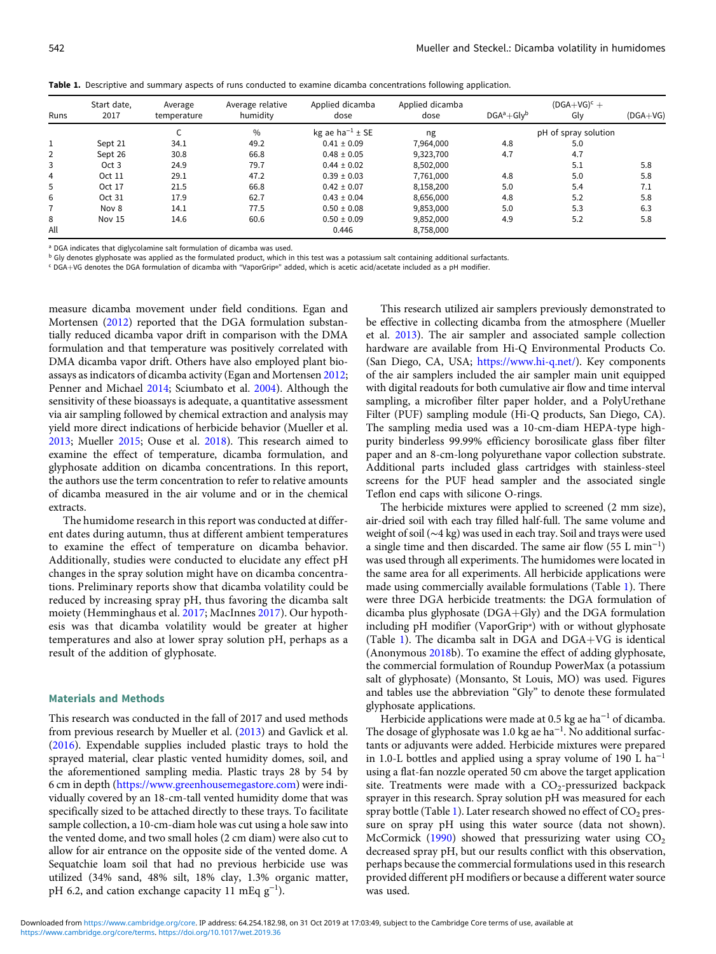<span id="page-1-0"></span>

|  |  |  |  |  |  |  |  | Table 1. Descriptive and summary aspects of runs conducted to examine dicamba concentrations following application. |
|--|--|--|--|--|--|--|--|---------------------------------------------------------------------------------------------------------------------|
|--|--|--|--|--|--|--|--|---------------------------------------------------------------------------------------------------------------------|

|                | Start date, | Average     | Average relative | Applied dicamba             | Applied dicamba | $(DGA+VG)^c +$       |     |            |
|----------------|-------------|-------------|------------------|-----------------------------|-----------------|----------------------|-----|------------|
| Runs           | 2017        | temperature | humidity         | dose                        | dose            | $DGA^a + Gly^b$      | Glv | $(DGA+VG)$ |
|                |             |             | $\frac{0}{0}$    | kg ae ha <sup>-1</sup> ± SE | ng              | pH of spray solution |     |            |
| 1              | Sept 21     | 34.1        | 49.2             | $0.41 \pm 0.09$             | 7,964,000       | 4.8                  | 5.0 |            |
| 2              | Sept 26     | 30.8        | 66.8             | $0.48 \pm 0.05$             | 9,323,700       | 4.7                  | 4.7 |            |
| 3              | Oct 3       | 24.9        | 79.7             | $0.44 \pm 0.02$             | 8,502,000       |                      | 5.1 | 5.8        |
| $\overline{4}$ | Oct 11      | 29.1        | 47.2             | $0.39 \pm 0.03$             | 7,761,000       | 4.8                  | 5.0 | 5.8        |
| 5              | Oct 17      | 21.5        | 66.8             | $0.42 \pm 0.07$             | 8,158,200       | 5.0                  | 5.4 | 7.1        |
| 6              | Oct 31      | 17.9        | 62.7             | $0.43 \pm 0.04$             | 8,656,000       | 4.8                  | 5.2 | 5.8        |
|                | Nov 8       | 14.1        | 77.5             | $0.50 \pm 0.08$             | 9,853,000       | 5.0                  | 5.3 | 6.3        |
| 8              | Nov 15      | 14.6        | 60.6             | $0.50 \pm 0.09$             | 9,852,000       | 4.9                  | 5.2 | 5.8        |
| All            |             |             |                  | 0.446                       | 8,758,000       |                      |     |            |

<sup>a</sup> DGA indicates that diglycolamine salt formulation of dicamba was used.

 $b$  Gly denotes glyphosate was applied as the formulated product, which in this test was a potassium salt containing additional surfactants.

<sup>c</sup> DGAþVG denotes the DGA formulation of dicamba with "VaporGrip®" added, which is acetic acid/acetate included as a pH modifier.

measure dicamba movement under field conditions. Egan and Mortensen ([2012\)](#page-5-0) reported that the DGA formulation substantially reduced dicamba vapor drift in comparison with the DMA formulation and that temperature was positively correlated with DMA dicamba vapor drift. Others have also employed plant bioassays as indicators of dicamba activity (Egan and Mortensen [2012](#page-5-0); Penner and Michael [2014](#page-5-0); Sciumbato et al. [2004\)](#page-5-0). Although the sensitivity of these bioassays is adequate, a quantitative assessment via air sampling followed by chemical extraction and analysis may yield more direct indications of herbicide behavior (Mueller et al. [2013;](#page-5-0) Mueller [2015;](#page-5-0) Ouse et al. [2018](#page-5-0)). This research aimed to examine the effect of temperature, dicamba formulation, and glyphosate addition on dicamba concentrations. In this report, the authors use the term concentration to refer to relative amounts of dicamba measured in the air volume and or in the chemical extracts.

The humidome research in this report was conducted at different dates during autumn, thus at different ambient temperatures to examine the effect of temperature on dicamba behavior. Additionally, studies were conducted to elucidate any effect pH changes in the spray solution might have on dicamba concentrations. Preliminary reports show that dicamba volatility could be reduced by increasing spray pH, thus favoring the dicamba salt moiety (Hemminghaus et al. [2017](#page-5-0); MacInnes [2017](#page-5-0)). Our hypothesis was that dicamba volatility would be greater at higher temperatures and also at lower spray solution pH, perhaps as a result of the addition of glyphosate.

#### Materials and Methods

This research was conducted in the fall of 2017 and used methods from previous research by Mueller et al. ([2013](#page-5-0)) and Gavlick et al. ([2016](#page-5-0)). Expendable supplies included plastic trays to hold the sprayed material, clear plastic vented humidity domes, soil, and the aforementioned sampling media. Plastic trays 28 by 54 by 6 cm in depth (<https://www.greenhousemegastore.com>) were individually covered by an 18-cm-tall vented humidity dome that was specifically sized to be attached directly to these trays. To facilitate sample collection, a 10-cm-diam hole was cut using a hole saw into the vented dome, and two small holes (2 cm diam) were also cut to allow for air entrance on the opposite side of the vented dome. A Sequatchie loam soil that had no previous herbicide use was utilized (34% sand, 48% silt, 18% clay, 1.3% organic matter, pH 6.2, and cation exchange capacity 11 mEq  $g^{-1}$ ).

This research utilized air samplers previously demonstrated to be effective in collecting dicamba from the atmosphere (Mueller et al. [2013\)](#page-5-0). The air sampler and associated sample collection hardware are available from Hi-Q Environmental Products Co. (San Diego, CA, USA; [https://www.hi-q.net/\)](https://www.hi-q.net/). Key components of the air samplers included the air sampler main unit equipped with digital readouts for both cumulative air flow and time interval sampling, a microfiber filter paper holder, and a PolyUrethane Filter (PUF) sampling module (Hi-Q products, San Diego, CA). The sampling media used was a 10-cm-diam HEPA-type highpurity binderless 99.99% efficiency borosilicate glass fiber filter paper and an 8-cm-long polyurethane vapor collection substrate. Additional parts included glass cartridges with stainless-steel screens for the PUF head sampler and the associated single Teflon end caps with silicone O-rings.

The herbicide mixtures were applied to screened (2 mm size), air-dried soil with each tray filled half-full. The same volume and weight of soil (∼4 kg) was used in each tray. Soil and trays were used a single time and then discarded. The same air flow (55 L min<sup>−</sup><sup>1</sup> ) was used through all experiments. The humidomes were located in the same area for all experiments. All herbicide applications were made using commercially available formulations (Table 1). There were three DGA herbicide treatments: the DGA formulation of dicamba plus glyphosate ( $DGA+Gly$ ) and the DGA formulation including pH modifier (VaporGrip®) with or without glyphosate (Table 1). The dicamba salt in DGA and  $DGA+VG$  is identical (Anonymous [2018](#page-5-0)b). To examine the effect of adding glyphosate, the commercial formulation of Roundup PowerMax (a potassium salt of glyphosate) (Monsanto, St Louis, MO) was used. Figures and tables use the abbreviation "Gly" to denote these formulated glyphosate applications.

Herbicide applications were made at 0.5 kg ae ha<sup>-1</sup> of dicamba. The dosage of glyphosate was 1.0 kg ae ha<sup>-1</sup>. No additional surfactants or adjuvants were added. Herbicide mixtures were prepared in 1.0-L bottles and applied using a spray volume of 190 L ha<sup>−</sup><sup>1</sup> using a flat-fan nozzle operated 50 cm above the target application site. Treatments were made with a  $CO<sub>2</sub>$ -pressurized backpack sprayer in this research. Spray solution pH was measured for each spray bottle (Table 1). Later research showed no effect of  $CO<sub>2</sub>$  pressure on spray pH using this water source (data not shown). McCormick ([1990](#page-5-0)) showed that pressurizing water using  $CO<sub>2</sub>$ decreased spray pH, but our results conflict with this observation, perhaps because the commercial formulations used in this research provided different pH modifiers or because a different water source was used.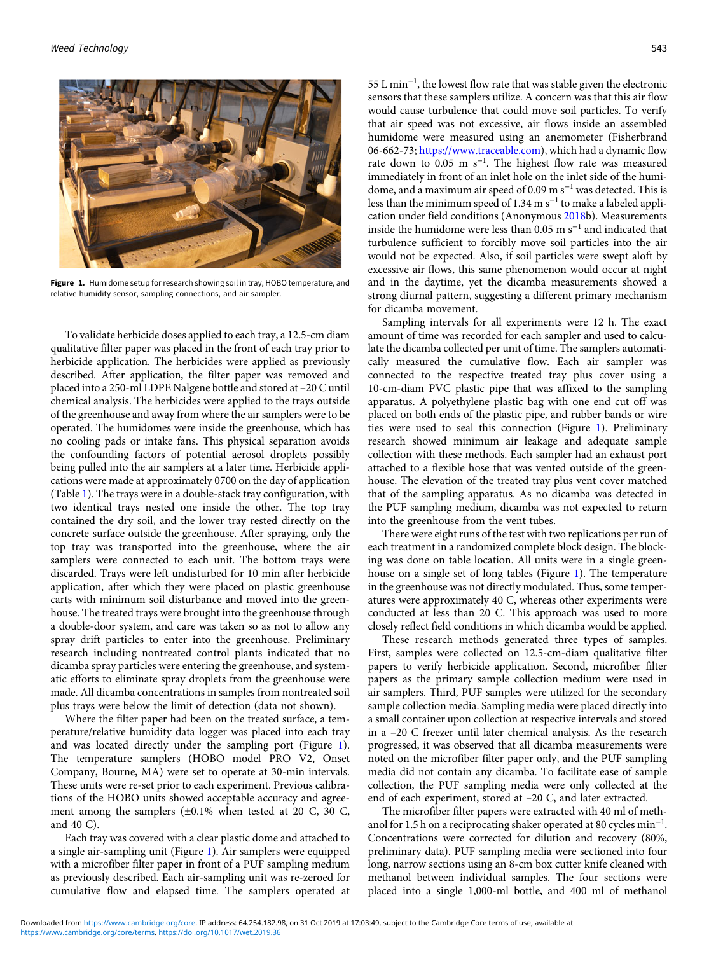

Figure 1. Humidome setup for research showing soil in tray, HOBO temperature, and relative humidity sensor, sampling connections, and air sampler.

To validate herbicide doses applied to each tray, a 12.5-cm diam qualitative filter paper was placed in the front of each tray prior to herbicide application. The herbicides were applied as previously described. After application, the filter paper was removed and placed into a 250-ml LDPE Nalgene bottle and stored at –20 C until chemical analysis. The herbicides were applied to the trays outside of the greenhouse and away from where the air samplers were to be operated. The humidomes were inside the greenhouse, which has no cooling pads or intake fans. This physical separation avoids the confounding factors of potential aerosol droplets possibly being pulled into the air samplers at a later time. Herbicide applications were made at approximately 0700 on the day of application (Table [1\)](#page-1-0). The trays were in a double-stack tray configuration, with two identical trays nested one inside the other. The top tray contained the dry soil, and the lower tray rested directly on the concrete surface outside the greenhouse. After spraying, only the top tray was transported into the greenhouse, where the air samplers were connected to each unit. The bottom trays were discarded. Trays were left undisturbed for 10 min after herbicide application, after which they were placed on plastic greenhouse carts with minimum soil disturbance and moved into the greenhouse. The treated trays were brought into the greenhouse through a double-door system, and care was taken so as not to allow any spray drift particles to enter into the greenhouse. Preliminary research including nontreated control plants indicated that no dicamba spray particles were entering the greenhouse, and systematic efforts to eliminate spray droplets from the greenhouse were made. All dicamba concentrations in samples from nontreated soil plus trays were below the limit of detection (data not shown).

Where the filter paper had been on the treated surface, a temperature/relative humidity data logger was placed into each tray and was located directly under the sampling port (Figure 1). The temperature samplers (HOBO model PRO V2, Onset Company, Bourne, MA) were set to operate at 30-min intervals. These units were re-set prior to each experiment. Previous calibrations of the HOBO units showed acceptable accuracy and agreement among the samplers (±0.1% when tested at 20 C, 30 C, and 40 C).

Each tray was covered with a clear plastic dome and attached to a single air-sampling unit (Figure 1). Air samplers were equipped with a microfiber filter paper in front of a PUF sampling medium as previously described. Each air-sampling unit was re-zeroed for cumulative flow and elapsed time. The samplers operated at

55 L min<sup>−</sup><sup>1</sup> , the lowest flow rate that was stable given the electronic sensors that these samplers utilize. A concern was that this air flow would cause turbulence that could move soil particles. To verify that air speed was not excessive, air flows inside an assembled humidome were measured using an anemometer (Fisherbrand 06-662-73; [https://www.traceable.com\)](https://www.traceable.com), which had a dynamic flow rate down to  $0.05$  m s<sup>-1</sup>. The highest flow rate was measured immediately in front of an inlet hole on the inlet side of the humidome, and a maximum air speed of 0.09 m s<sup>−</sup><sup>1</sup> was detected. This is less than the minimum speed of 1.34 m  $s^{-1}$  to make a labeled application under field conditions (Anonymous [2018](#page-5-0)b). Measurements inside the humidome were less than  $0.05$  m s<sup>-1</sup> and indicated that turbulence sufficient to forcibly move soil particles into the air would not be expected. Also, if soil particles were swept aloft by excessive air flows, this same phenomenon would occur at night and in the daytime, yet the dicamba measurements showed a strong diurnal pattern, suggesting a different primary mechanism for dicamba movement.

Sampling intervals for all experiments were 12 h. The exact amount of time was recorded for each sampler and used to calculate the dicamba collected per unit of time. The samplers automatically measured the cumulative flow. Each air sampler was connected to the respective treated tray plus cover using a 10-cm-diam PVC plastic pipe that was affixed to the sampling apparatus. A polyethylene plastic bag with one end cut off was placed on both ends of the plastic pipe, and rubber bands or wire ties were used to seal this connection (Figure 1). Preliminary research showed minimum air leakage and adequate sample collection with these methods. Each sampler had an exhaust port attached to a flexible hose that was vented outside of the greenhouse. The elevation of the treated tray plus vent cover matched that of the sampling apparatus. As no dicamba was detected in the PUF sampling medium, dicamba was not expected to return into the greenhouse from the vent tubes.

There were eight runs of the test with two replications per run of each treatment in a randomized complete block design. The blocking was done on table location. All units were in a single greenhouse on a single set of long tables (Figure 1). The temperature in the greenhouse was not directly modulated. Thus, some temperatures were approximately 40 C, whereas other experiments were conducted at less than 20 C. This approach was used to more closely reflect field conditions in which dicamba would be applied.

These research methods generated three types of samples. First, samples were collected on 12.5-cm-diam qualitative filter papers to verify herbicide application. Second, microfiber filter papers as the primary sample collection medium were used in air samplers. Third, PUF samples were utilized for the secondary sample collection media. Sampling media were placed directly into a small container upon collection at respective intervals and stored in a –20 C freezer until later chemical analysis. As the research progressed, it was observed that all dicamba measurements were noted on the microfiber filter paper only, and the PUF sampling media did not contain any dicamba. To facilitate ease of sample collection, the PUF sampling media were only collected at the end of each experiment, stored at –20 C, and later extracted.

The microfiber filter papers were extracted with 40 ml of methanol for 1.5 h on a reciprocating shaker operated at 80 cycles min<sup>-1</sup>. Concentrations were corrected for dilution and recovery (80%, preliminary data). PUF sampling media were sectioned into four long, narrow sections using an 8-cm box cutter knife cleaned with methanol between individual samples. The four sections were placed into a single 1,000-ml bottle, and 400 ml of methanol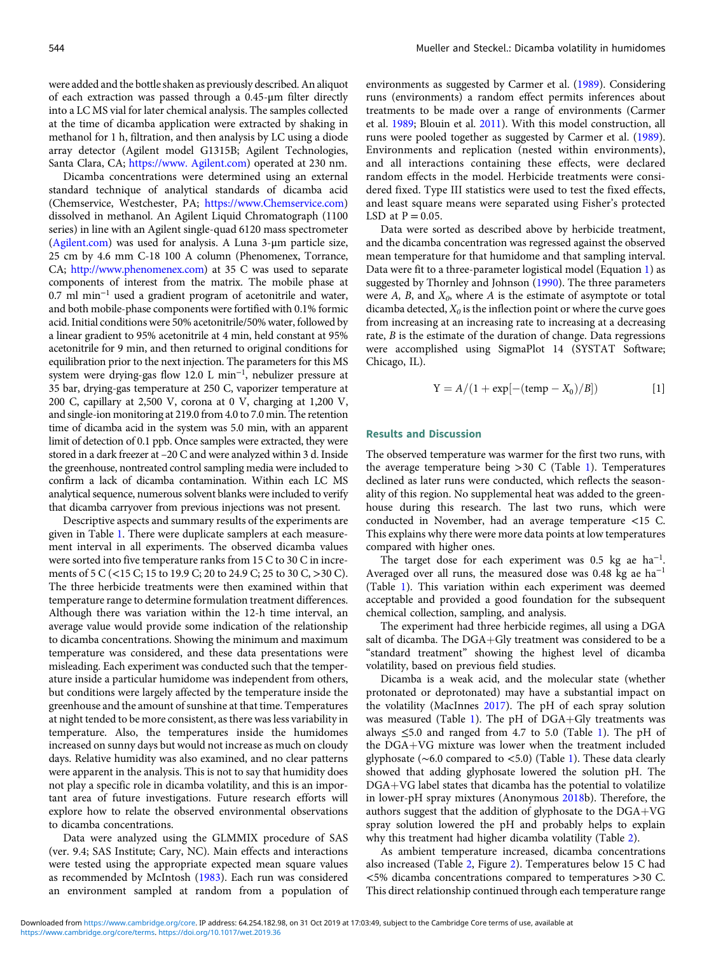were added and the bottle shaken as previously described. An aliquot of each extraction was passed through a 0.45-μm filter directly into a LC MS vial for later chemical analysis. The samples collected at the time of dicamba application were extracted by shaking in methanol for 1 h, filtration, and then analysis by LC using a diode array detector (Agilent model G1315B; Agilent Technologies, Santa Clara, CA; <https://www. Agilent.com>) operated at 230 nm.

Dicamba concentrations were determined using an external standard technique of analytical standards of dicamba acid (Chemservice, Westchester, PA; [https://www.Chemservice.com](https://www. Chemservice.com)) dissolved in methanol. An Agilent Liquid Chromatograph (1100 series) in line with an Agilent single-quad 6120 mass spectrometer ([Agilent.com](http://Agilent.com)) was used for analysis. A Luna 3-μm particle size, 25 cm by 4.6 mm C-18 100 A column (Phenomenex, Torrance, CA; [http://www.phenomenex.com\)](http://www.phenomenex.com) at 35 C was used to separate components of interest from the matrix. The mobile phase at 0.7 ml min<sup>−</sup><sup>1</sup> used a gradient program of acetonitrile and water, and both mobile-phase components were fortified with 0.1% formic acid. Initial conditions were 50% acetonitrile/50% water, followed by a linear gradient to 95% acetonitrile at 4 min, held constant at 95% acetonitrile for 9 min, and then returned to original conditions for equilibration prior to the next injection. The parameters for this MS system were drying-gas flow 12.0 L min<sup>−</sup><sup>1</sup> , nebulizer pressure at 35 bar, drying-gas temperature at 250 C, vaporizer temperature at 200 C, capillary at 2,500 V, corona at 0 V, charging at 1,200 V, and single-ion monitoring at 219.0 from 4.0 to 7.0 min. The retention time of dicamba acid in the system was 5.0 min, with an apparent limit of detection of 0.1 ppb. Once samples were extracted, they were stored in a dark freezer at –20 C and were analyzed within 3 d. Inside the greenhouse, nontreated control sampling media were included to confirm a lack of dicamba contamination. Within each LC MS analytical sequence, numerous solvent blanks were included to verify that dicamba carryover from previous injections was not present.

Descriptive aspects and summary results of the experiments are given in Table [1.](#page-1-0) There were duplicate samplers at each measurement interval in all experiments. The observed dicamba values were sorted into five temperature ranks from 15 C to 30 C in increments of 5 C (<15 C; 15 to 19.9 C; 20 to 24.9 C; 25 to 30 C, >30 C). The three herbicide treatments were then examined within that temperature range to determine formulation treatment differences. Although there was variation within the 12-h time interval, an average value would provide some indication of the relationship to dicamba concentrations. Showing the minimum and maximum temperature was considered, and these data presentations were misleading. Each experiment was conducted such that the temperature inside a particular humidome was independent from others, but conditions were largely affected by the temperature inside the greenhouse and the amount of sunshine at that time. Temperatures at night tended to be more consistent, as there was less variability in temperature. Also, the temperatures inside the humidomes increased on sunny days but would not increase as much on cloudy days. Relative humidity was also examined, and no clear patterns were apparent in the analysis. This is not to say that humidity does not play a specific role in dicamba volatility, and this is an important area of future investigations. Future research efforts will explore how to relate the observed environmental observations to dicamba concentrations.

Data were analyzed using the GLMMIX procedure of SAS (ver. 9.4; SAS Institute; Cary, NC). Main effects and interactions were tested using the appropriate expected mean square values as recommended by McIntosh [\(1983\)](#page-5-0). Each run was considered an environment sampled at random from a population of

environments as suggested by Carmer et al. [\(1989](#page-5-0)). Considering runs (environments) a random effect permits inferences about treatments to be made over a range of environments (Carmer et al. [1989](#page-5-0); Blouin et al. [2011](#page-5-0)). With this model construction, all runs were pooled together as suggested by Carmer et al. ([1989](#page-5-0)). Environments and replication (nested within environments), and all interactions containing these effects, were declared random effects in the model. Herbicide treatments were considered fixed. Type III statistics were used to test the fixed effects, and least square means were separated using Fisher's protected LSD at  $P = 0.05$ .

Data were sorted as described above by herbicide treatment, and the dicamba concentration was regressed against the observed mean temperature for that humidome and that sampling interval. Data were fit to a three-parameter logistical model (Equation 1) as suggested by Thornley and Johnson [\(1990](#page-5-0)). The three parameters were  $A$ ,  $B$ , and  $X_0$ , where  $A$  is the estimate of asymptote or total dicamba detected,  $X_0$  is the inflection point or where the curve goes from increasing at an increasing rate to increasing at a decreasing rate, B is the estimate of the duration of change. Data regressions were accomplished using SigmaPlot 14 (SYSTAT Software; Chicago, IL).

$$
Y = A/(1 + \exp[-(\text{temp} - X_0)/B])
$$
 [1]

### Results and Discussion

The observed temperature was warmer for the first two runs, with the average temperature being >30 C (Table [1](#page-1-0)). Temperatures declined as later runs were conducted, which reflects the seasonality of this region. No supplemental heat was added to the greenhouse during this research. The last two runs, which were conducted in November, had an average temperature <15 C. This explains why there were more data points at low temperatures compared with higher ones.

The target dose for each experiment was  $0.5$  kg ae ha<sup>-1</sup>. Averaged over all runs, the measured dose was 0.48 kg ae ha<sup>−</sup><sup>1</sup> (Table [1\)](#page-1-0). This variation within each experiment was deemed acceptable and provided a good foundation for the subsequent chemical collection, sampling, and analysis.

The experiment had three herbicide regimes, all using a DGA salt of dicamba. The DGA+Gly treatment was considered to be a "standard treatment" showing the highest level of dicamba volatility, based on previous field studies.

Dicamba is a weak acid, and the molecular state (whether protonated or deprotonated) may have a substantial impact on the volatility (MacInnes [2017\)](#page-5-0). The pH of each spray solution was measured (Table [1](#page-1-0)). The pH of  $DGA+Gly$  treatments was always  $\leq$ 5.0 and ranged from 4.7 to 5.0 (Table [1](#page-1-0)). The pH of the DGA+VG mixture was lower when the treatment included glyphosate (∼6.0 compared to <5.0) (Table [1](#page-1-0)). These data clearly showed that adding glyphosate lowered the solution pH. The  $DGA+VG$  label states that dicamba has the potential to volatilize in lower-pH spray mixtures (Anonymous [2018](#page-5-0)b). Therefore, the authors suggest that the addition of glyphosate to the  $DGA+VG$ spray solution lowered the pH and probably helps to explain why this treatment had higher dicamba volatility (Table [2\)](#page-4-0).

As ambient temperature increased, dicamba concentrations also increased (Table [2](#page-4-0), Figure [2](#page-4-0)). Temperatures below 15 C had <5% dicamba concentrations compared to temperatures >30 C. This direct relationship continued through each temperature range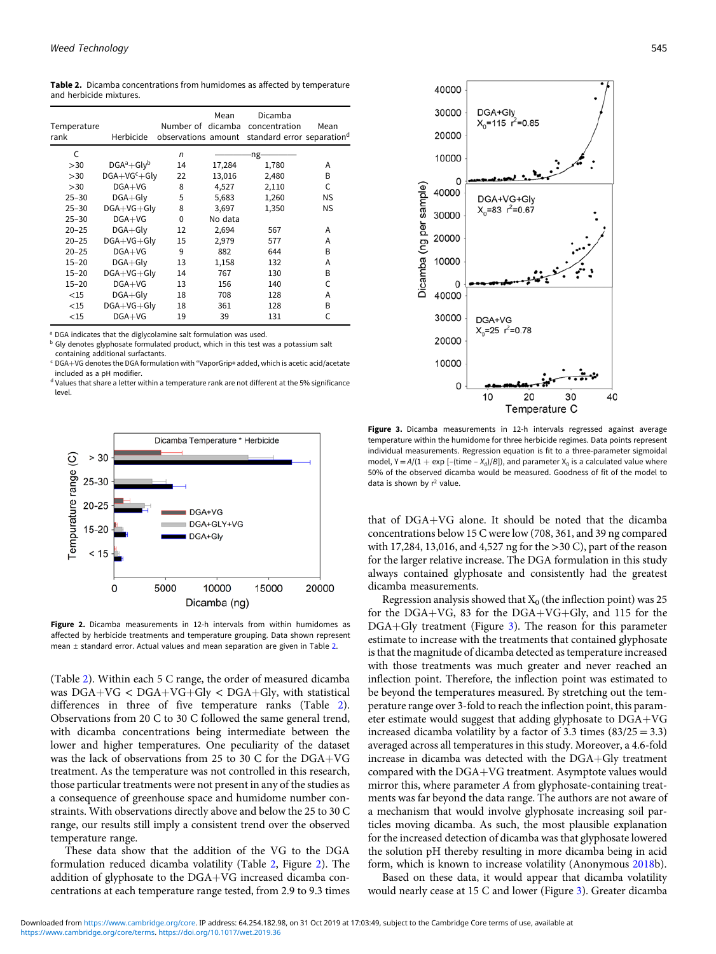<span id="page-4-0"></span>Table 2. Dicamba concentrations from humidomes as affected by temperature and herbicide mixtures.

| Temperature<br>rank | Herbicide       |              | Mean    | Dicamba<br>Number of dicamba concentration<br>observations amount standard error separation <sup>d</sup> | Mean      |
|---------------------|-----------------|--------------|---------|----------------------------------------------------------------------------------------------------------|-----------|
| C                   |                 | $\mathsf{n}$ |         | ng.                                                                                                      |           |
| >30                 | $DGA^a + GIv^b$ | 14           | 17,284  | 1,780                                                                                                    | А         |
| >30                 | $DGA+VGc+Gly$   | 22           | 13,016  | 2,480                                                                                                    | B         |
| >30                 | $DGA+VG$        | 8            | 4,527   | 2,110                                                                                                    | C         |
| $25 - 30$           | $DGA + Gly$     | 5            | 5,683   | 1,260                                                                                                    | ΝS        |
| $25 - 30$           | $DGA+VG+G$      | 8            | 3,697   | 1,350                                                                                                    | <b>NS</b> |
| $25 - 30$           | $DGA+VG$        | 0            | No data |                                                                                                          |           |
| $20 - 25$           | $DGA + Gly$     | 12           | 2,694   | 567                                                                                                      | А         |
| $20 - 25$           | DGA+VG+Gly      | 15           | 2,979   | 577                                                                                                      | А         |
| $20 - 25$           | $DGA+VG$        | 9            | 882     | 644                                                                                                      | B         |
| $15 - 20$           | $DGA + Gly$     | 13           | 1,158   | 132                                                                                                      | А         |
| $15 - 20$           | DGA+VG+Glv      | 14           | 767     | 130                                                                                                      | B         |
| $15 - 20$           | $DGA+VG$        | 13           | 156     | 140                                                                                                      | C         |
| $<$ 15              | $DGA + Gly$     | 18           | 708     | 128                                                                                                      | А         |
| $<$ 15              | DGA+VG+Gly      | 18           | 361     | 128                                                                                                      | B         |
| $<$ 15              | $DGA+VG$        | 19           | 39      | 131                                                                                                      | C         |

a DGA indicates that the diglycolamine salt formulation was used.

b Gly denotes glyphosate formulated product, which in this test was a potassium salt containing additional surfactants.

 $c$  DGA+VG denotes the DGA formulation with "VaporGrip® added, which is acetic acid/acetate included as a pH modifier.

<sup>d</sup> Values that share a letter within a temperature rank are not different at the 5% significance level.



Figure 2. Dicamba measurements in 12-h intervals from within humidomes as affected by herbicide treatments and temperature grouping. Data shown represent mean ± standard error. Actual values and mean separation are given in Table 2.

(Table 2). Within each 5 C range, the order of measured dicamba was  $DGA+VG < DGA+VG+Gly < DGA+Gly$ , with statistical differences in three of five temperature ranks (Table 2). Observations from 20 C to 30 C followed the same general trend, with dicamba concentrations being intermediate between the lower and higher temperatures. One peculiarity of the dataset was the lack of observations from 25 to 30 C for the  $DGA+VG$ treatment. As the temperature was not controlled in this research, those particular treatments were not present in any of the studies as a consequence of greenhouse space and humidome number constraints. With observations directly above and below the 25 to 30 C range, our results still imply a consistent trend over the observed temperature range.

These data show that the addition of the VG to the DGA formulation reduced dicamba volatility (Table 2, Figure 2). The addition of glyphosate to the  $DGA+VG$  increased dicamba concentrations at each temperature range tested, from 2.9 to 9.3 times



Figure 3. Dicamba measurements in 12-h intervals regressed against average temperature within the humidome for three herbicide regimes. Data points represent individual measurements. Regression equation is fit to a three-parameter sigmoidal model,  $Y = A/(1 + \exp[-(\text{time} - X_0)/B])$ , and parameter  $X_0$  is a calculated value where 50% of the observed dicamba would be measured. Goodness of fit of the model to data is shown by  $r^2$  value.

that of  $DGA+VG$  alone. It should be noted that the dicamba concentrations below 15 C were low (708, 361, and 39 ng compared with 17,284, 13,016, and 4,527 ng for the >30 C), part of the reason for the larger relative increase. The DGA formulation in this study always contained glyphosate and consistently had the greatest dicamba measurements.

Regression analysis showed that  $X_0$  (the inflection point) was 25 for the DGA+VG, 83 for the DGA+VG+Gly, and 115 for the  $DGA+Gly$  treatment (Figure 3). The reason for this parameter estimate to increase with the treatments that contained glyphosate is that the magnitude of dicamba detected as temperature increased with those treatments was much greater and never reached an inflection point. Therefore, the inflection point was estimated to be beyond the temperatures measured. By stretching out the temperature range over 3-fold to reach the inflection point, this parameter estimate would suggest that adding glyphosate to DGA+VG increased dicamba volatility by a factor of 3.3 times  $(83/25 = 3.3)$ averaged across all temperatures in this study. Moreover, a 4.6-fold increase in dicamba was detected with the DGA+Gly treatment compared with the DGA+VG treatment. Asymptote values would mirror this, where parameter A from glyphosate-containing treatments was far beyond the data range. The authors are not aware of a mechanism that would involve glyphosate increasing soil particles moving dicamba. As such, the most plausible explanation for the increased detection of dicamba was that glyphosate lowered the solution pH thereby resulting in more dicamba being in acid form, which is known to increase volatility (Anonymous [2018](#page-5-0)b).

Based on these data, it would appear that dicamba volatility would nearly cease at 15 C and lower (Figure 3). Greater dicamba